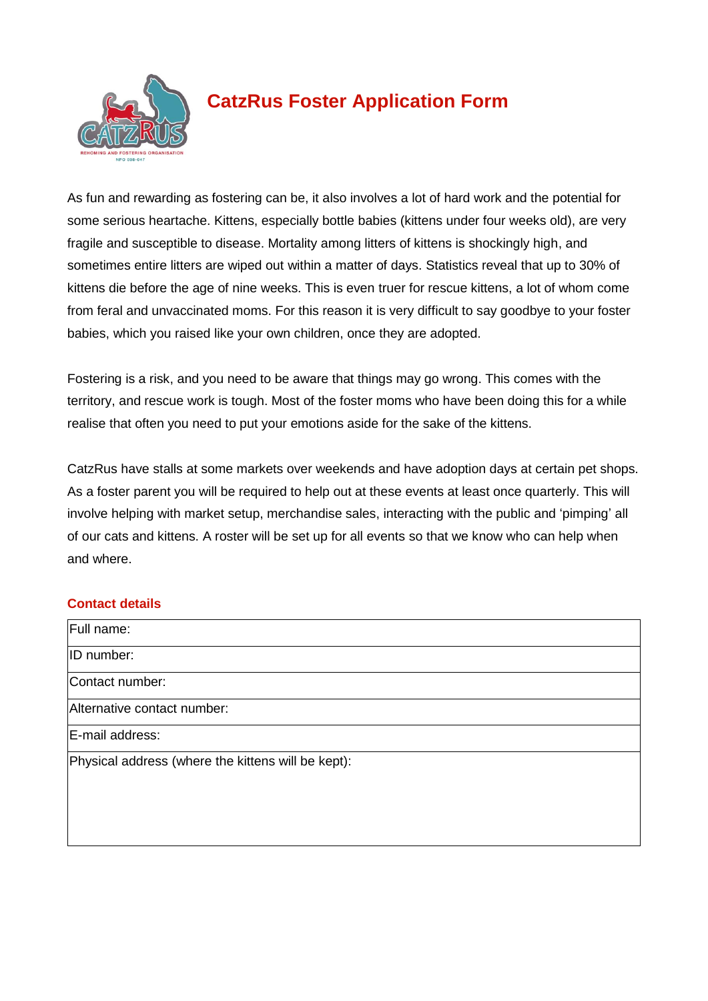

# **CatzRus Foster Application Form**

As fun and rewarding as fostering can be, it also involves a lot of hard work and the potential for some serious heartache. Kittens, especially bottle babies (kittens under four weeks old), are very fragile and susceptible to disease. Mortality among litters of kittens is shockingly high, and sometimes entire litters are wiped out within a matter of days. Statistics reveal that up to 30% of kittens die before the age of nine weeks. This is even truer for rescue kittens, a lot of whom come from feral and unvaccinated moms. For this reason it is very difficult to say goodbye to your foster babies, which you raised like your own children, once they are adopted.

Fostering is a risk, and you need to be aware that things may go wrong. This comes with the territory, and rescue work is tough. Most of the foster moms who have been doing this for a while realise that often you need to put your emotions aside for the sake of the kittens.

CatzRus have stalls at some markets over weekends and have adoption days at certain pet shops. As a foster parent you will be required to help out at these events at least once quarterly. This will involve helping with market setup, merchandise sales, interacting with the public and 'pimping' all of our cats and kittens. A roster will be set up for all events so that we know who can help when and where.

## **Contact details**

| Full name:                                         |
|----------------------------------------------------|
| ID number:                                         |
| Contact number:                                    |
| Alternative contact number:                        |
| E-mail address:                                    |
| Physical address (where the kittens will be kept): |
|                                                    |
|                                                    |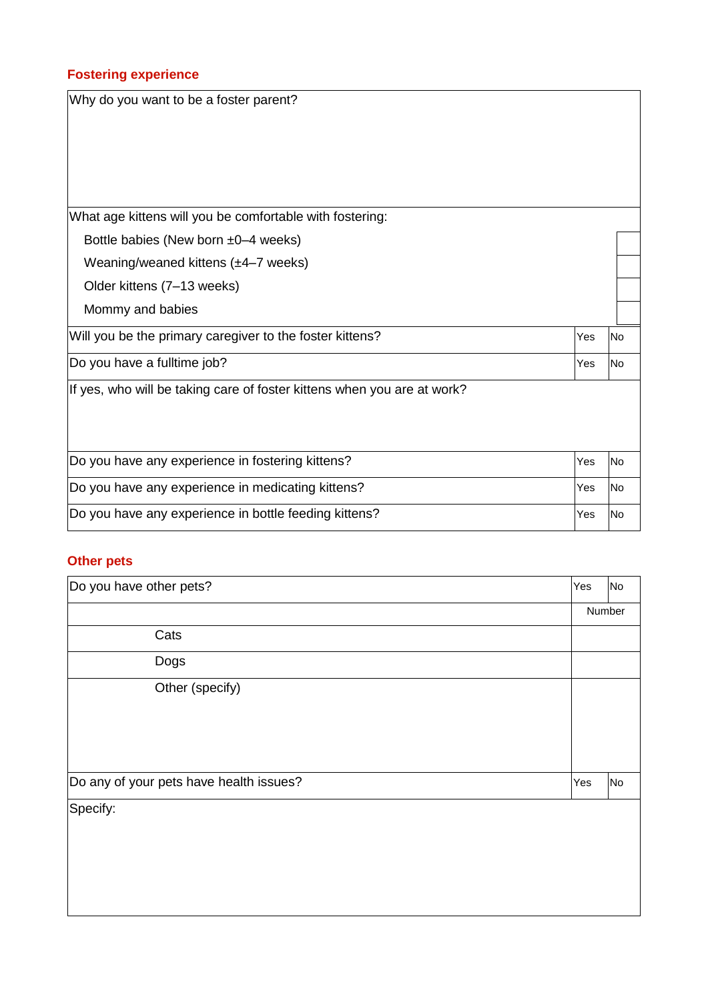### **Fostering experience**

Why do you want to be a foster parent? What age kittens will you be comfortable with fostering: Bottle babies (New born ±0–4 weeks) Weaning/weaned kittens (±4–7 weeks) Older kittens (7–13 weeks) Mommy and babies Will you be the primary caregiver to the foster kittens?  $|Y_{\text{res}}|$   $|Y_{\text{es}}|$  |No Do you have a fulltime job?  $\vert$  Yes  $\vert$  No  $\vert$  Yes  $\vert$  No  $\vert$  Yes  $\vert$  No  $\vert$  Yes  $\vert$  No  $\vert$  Yes  $\vert$  No  $\vert$  Yes  $\vert$  No  $\vert$  Yes  $\vert$  No  $\vert$  Yes  $\vert$  No  $\vert$  Yes  $\vert$  No  $\vert$  Yes  $\vert$  No  $\vert$  Yes  $\vert$  No  $\vert$  Y If yes, who will be taking care of foster kittens when you are at work? Do you have any experience in fostering kittens? The Most Control of the Vest No Do you have any experience in medicating kittens? The Most Changes are the Vest No Do you have any experience in bottle feeding kittens?  $|Y_{\text{es}}|$   $|Y_{\text{es}}|$  | No

#### **Other pets**

| Do you have other pets?                 | Yes | <b>No</b> |  |
|-----------------------------------------|-----|-----------|--|
|                                         |     | Number    |  |
| Cats                                    |     |           |  |
| Dogs                                    |     |           |  |
| Other (specify)                         |     |           |  |
|                                         |     |           |  |
|                                         |     |           |  |
|                                         |     |           |  |
| Do any of your pets have health issues? | Yes | <b>No</b> |  |
| Specify:                                |     |           |  |
|                                         |     |           |  |
|                                         |     |           |  |
|                                         |     |           |  |
|                                         |     |           |  |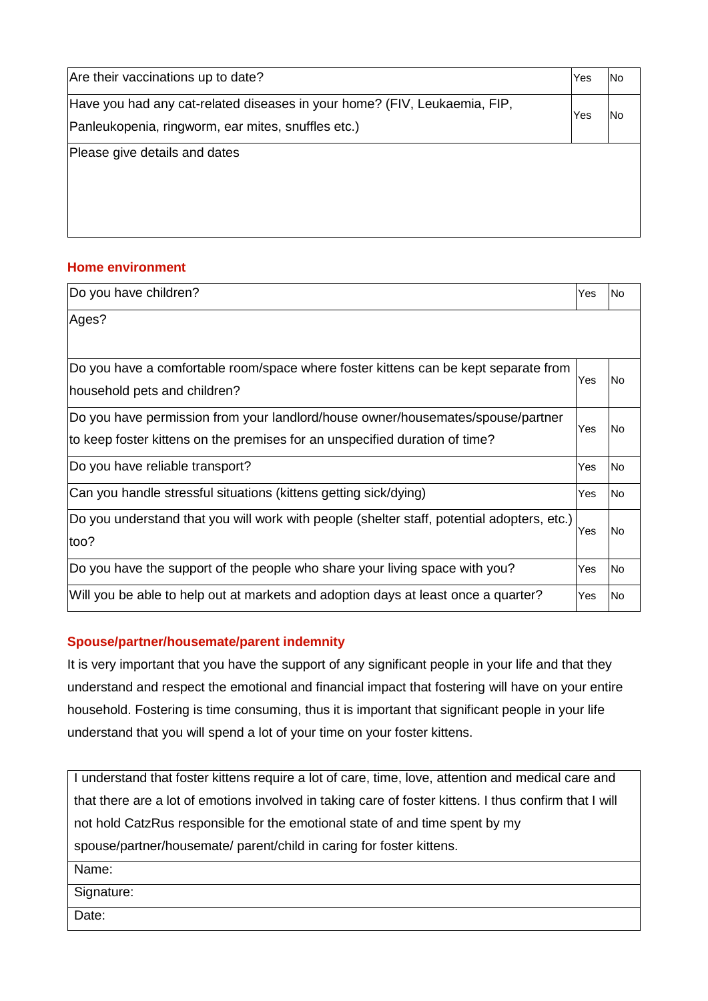| Are their vaccinations up to date?                                        | Yes | No |  |
|---------------------------------------------------------------------------|-----|----|--|
| Have you had any cat-related diseases in your home? (FIV, Leukaemia, FIP, | Yes | No |  |
| Panleukopenia, ringworm, ear mites, snuffles etc.)                        |     |    |  |
| Please give details and dates                                             |     |    |  |
|                                                                           |     |    |  |
|                                                                           |     |    |  |
|                                                                           |     |    |  |

#### **Home environment**

| Do you have children?                                                                                                                                          | Yes | lNo       |
|----------------------------------------------------------------------------------------------------------------------------------------------------------------|-----|-----------|
| Ages?                                                                                                                                                          |     |           |
| Do you have a comfortable room/space where foster kittens can be kept separate from<br>household pets and children?                                            | Yes | No        |
| Do you have permission from your landlord/house owner/housemates/spouse/partner<br>to keep foster kittens on the premises for an unspecified duration of time? | Yes | lNo.      |
| Do you have reliable transport?                                                                                                                                | Yes | No.       |
| Can you handle stressful situations (kittens getting sick/dying)                                                                                               | Yes | lNo.      |
| Do you understand that you will work with people (shelter staff, potential adopters, etc.)<br>too?                                                             |     | lNo.      |
| Do you have the support of the people who share your living space with you?                                                                                    | Yes | <b>No</b> |
| Will you be able to help out at markets and adoption days at least once a quarter?                                                                             | Yes | No        |

## **Spouse/partner/housemate/parent indemnity**

It is very important that you have the support of any significant people in your life and that they understand and respect the emotional and financial impact that fostering will have on your entire household. Fostering is time consuming, thus it is important that significant people in your life understand that you will spend a lot of your time on your foster kittens.

I understand that foster kittens require a lot of care, time, love, attention and medical care and that there are a lot of emotions involved in taking care of foster kittens. I thus confirm that I will not hold CatzRus responsible for the emotional state of and time spent by my spouse/partner/housemate/ parent/child in caring for foster kittens.

Name:

Signature:

Date: